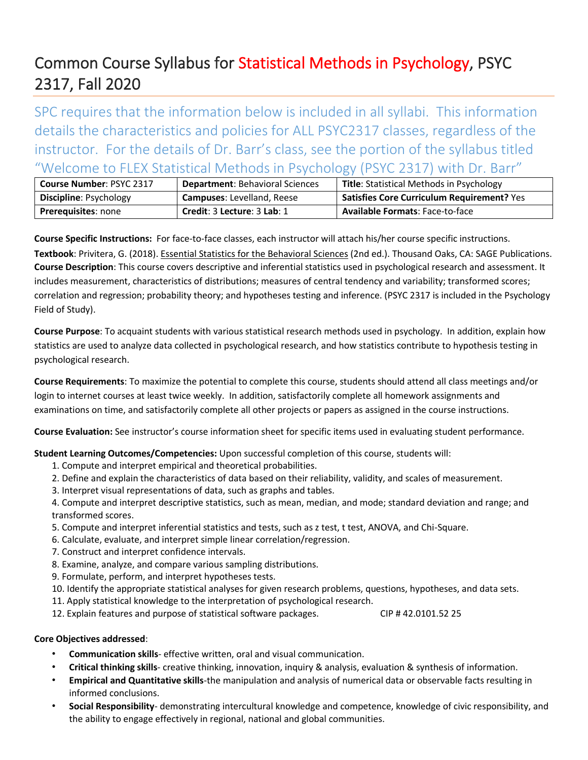## Common Course Syllabus for Statistical Methods in Psychology, PSYC 2317, Fall 2020

SPC requires that the information below is included in all syllabi. This information details the characteristics and policies for ALL PSYC2317 classes, regardless of the instructor. For the details of Dr. Barr's class, see the portion of the syllabus titled "Welcome to FLEX Statistical Methods in Psychology (PSYC 2317) with Dr. Barr"

| <b>Course Number: PSYC 2317</b> | <b>Department: Behavioral Sciences</b> | <b>Title: Statistical Methods in Psychology</b>   |
|---------------------------------|----------------------------------------|---------------------------------------------------|
| <b>Discipline: Psychology</b>   | <b>Campuses: Levelland, Reese</b>      | <b>Satisfies Core Curriculum Requirement? Yes</b> |
| <b>Prerequisites: none</b>      | Credit: 3 Lecture: 3 Lab: 1            | <b>Available Formats: Face-to-face</b>            |

**Course Specific Instructions:** For face-to-face classes, each instructor will attach his/her course specific instructions.

**Textbook**: Privitera, G. (2018). Essential Statistics for the Behavioral Sciences (2nd ed.). Thousand Oaks, CA: SAGE Publications. **Course Description**: This course covers descriptive and inferential statistics used in psychological research and assessment. It includes measurement, characteristics of distributions; measures of central tendency and variability; transformed scores; correlation and regression; probability theory; and hypotheses testing and inference. (PSYC 2317 is included in the Psychology Field of Study).

**Course Purpose**: To acquaint students with various statistical research methods used in psychology. In addition, explain how statistics are used to analyze data collected in psychological research, and how statistics contribute to hypothesis testing in psychological research.

**Course Requirements**: To maximize the potential to complete this course, students should attend all class meetings and/or login to internet courses at least twice weekly. In addition, satisfactorily complete all homework assignments and examinations on time, and satisfactorily complete all other projects or papers as assigned in the course instructions.

**Course Evaluation:** See instructor's course information sheet for specific items used in evaluating student performance.

**Student Learning Outcomes/Competencies:** Upon successful completion of this course, students will:

- 1. Compute and interpret empirical and theoretical probabilities.
- 2. Define and explain the characteristics of data based on their reliability, validity, and scales of measurement.
- 3. Interpret visual representations of data, such as graphs and tables.

4. Compute and interpret descriptive statistics, such as mean, median, and mode; standard deviation and range; and transformed scores.

- 5. Compute and interpret inferential statistics and tests, such as z test, t test, ANOVA, and Chi-Square.
- 6. Calculate, evaluate, and interpret simple linear correlation/regression.
- 7. Construct and interpret confidence intervals.
- 8. Examine, analyze, and compare various sampling distributions.
- 9. Formulate, perform, and interpret hypotheses tests.
- 10. Identify the appropriate statistical analyses for given research problems, questions, hypotheses, and data sets.
- 11. Apply statistical knowledge to the interpretation of psychological research.
- 12. Explain features and purpose of statistical software packages. CIP # 42.0101.52 25

#### **Core Objectives addressed**:

- **Communication skills** effective written, oral and visual communication.
- **Critical thinking skills** creative thinking, innovation, inquiry & analysis, evaluation & synthesis of information.
- **Empirical and Quantitative skills**-the manipulation and analysis of numerical data or observable facts resulting in informed conclusions.
- **Social Responsibility** demonstrating intercultural knowledge and competence, knowledge of civic responsibility, and the ability to engage effectively in regional, national and global communities.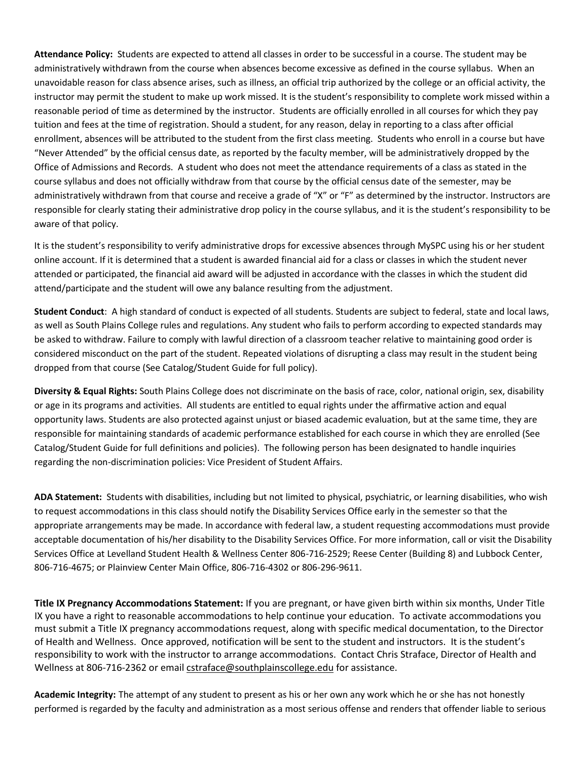**Attendance Policy:** Students are expected to attend all classes in order to be successful in a course. The student may be administratively withdrawn from the course when absences become excessive as defined in the course syllabus. When an unavoidable reason for class absence arises, such as illness, an official trip authorized by the college or an official activity, the instructor may permit the student to make up work missed. It is the student's responsibility to complete work missed within a reasonable period of time as determined by the instructor. Students are officially enrolled in all courses for which they pay tuition and fees at the time of registration. Should a student, for any reason, delay in reporting to a class after official enrollment, absences will be attributed to the student from the first class meeting. Students who enroll in a course but have "Never Attended" by the official census date, as reported by the faculty member, will be administratively dropped by the Office of Admissions and Records. A student who does not meet the attendance requirements of a class as stated in the course syllabus and does not officially withdraw from that course by the official census date of the semester, may be administratively withdrawn from that course and receive a grade of "X" or "F" as determined by the instructor. Instructors are responsible for clearly stating their administrative drop policy in the course syllabus, and it is the student's responsibility to be aware of that policy.

It is the student's responsibility to verify administrative drops for excessive absences through MySPC using his or her student online account. If it is determined that a student is awarded financial aid for a class or classes in which the student never attended or participated, the financial aid award will be adjusted in accordance with the classes in which the student did attend/participate and the student will owe any balance resulting from the adjustment.

**Student Conduct**: A high standard of conduct is expected of all students. Students are subject to federal, state and local laws, as well as South Plains College rules and regulations. Any student who fails to perform according to expected standards may be asked to withdraw. Failure to comply with lawful direction of a classroom teacher relative to maintaining good order is considered misconduct on the part of the student. Repeated violations of disrupting a class may result in the student being dropped from that course (See Catalog/Student Guide for full policy).

**Diversity & Equal Rights:** South Plains College does not discriminate on the basis of race, color, national origin, sex, disability or age in its programs and activities. All students are entitled to equal rights under the affirmative action and equal opportunity laws. Students are also protected against unjust or biased academic evaluation, but at the same time, they are responsible for maintaining standards of academic performance established for each course in which they are enrolled (See Catalog/Student Guide for full definitions and policies). The following person has been designated to handle inquiries regarding the non-discrimination policies: Vice President of Student Affairs.

**ADA Statement:** Students with disabilities, including but not limited to physical, psychiatric, or learning disabilities, who wish to request accommodations in this class should notify the Disability Services Office early in the semester so that the appropriate arrangements may be made. In accordance with federal law, a student requesting accommodations must provide acceptable documentation of his/her disability to the Disability Services Office. For more information, call or visit the Disability Services Office at Levelland Student Health & Wellness Center 806-716-2529; Reese Center (Building 8) and Lubbock Center, 806-716-4675; or Plainview Center Main Office, 806-716-4302 or 806-296-9611.

**Title IX Pregnancy Accommodations Statement:** If you are pregnant, or have given birth within six months, Under Title IX you have a right to reasonable accommodations to help continue your education. To activate accommodations you must submit a Title IX pregnancy accommodations request, along with specific medical documentation, to the Director of Health and Wellness. Once approved, notification will be sent to the student and instructors. It is the student's responsibility to work with the instructor to arrange accommodations. Contact Chris Straface, Director of Health and Wellness at 806-716-2362 or email [cstraface@southplainscollege.edu](mailto:cstraface@southplainscollege.edu) for assistance.

**Academic Integrity:** The attempt of any student to present as his or her own any work which he or she has not honestly performed is regarded by the faculty and administration as a most serious offense and renders that offender liable to serious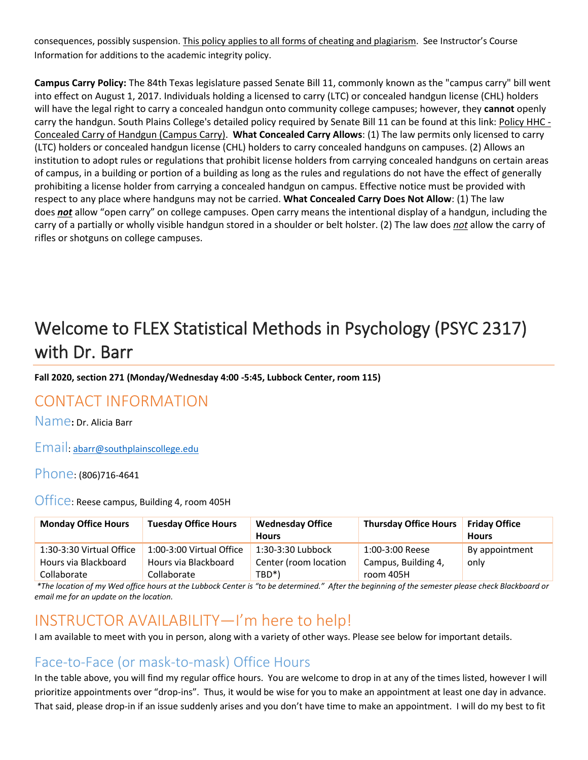consequences, possibly suspension. This policy applies to all forms of cheating and plagiarism. See Instructor's Course Information for additions to the academic integrity policy.

**Campus Carry Policy:** The 84th Texas legislature passed Senate Bill 11, commonly known as the "campus carry" bill went into effect on August 1, 2017. Individuals holding a licensed to carry (LTC) or concealed handgun license (CHL) holders will have the legal right to carry a concealed handgun onto community college campuses; however, they **cannot** openly carry the handgun. South Plains College's detailed policy required by Senate Bill 11 can be found at this link: [Policy HHC -](http://www.southplainscollege.edu/human_resources/policy_procedure/hhc.php) [Concealed Carry of Handgun \(Campus Carry\).](http://www.southplainscollege.edu/human_resources/policy_procedure/hhc.php) **What Concealed Carry Allows**: (1) The law permits only licensed to carry (LTC) holders or concealed handgun license (CHL) holders to carry concealed handguns on campuses. (2) Allows an institution to adopt rules or regulations that prohibit license holders from carrying concealed handguns on certain areas of campus, in a building or portion of a building as long as the rules and regulations do not have the effect of generally prohibiting a license holder from carrying a concealed handgun on campus. Effective notice must be provided with respect to any place where handguns may not be carried. **What Concealed Carry Does Not Allow**: (1) The law does *not* allow "open carry" on college campuses. Open carry means the intentional display of a handgun, including the carry of a partially or wholly visible handgun stored in a shoulder or belt holster. (2) The law does *not* allow the carry of rifles or shotguns on college campuses.

# Welcome to FLEX Statistical Methods in Psychology (PSYC 2317) with Dr. Barr

**Fall 2020, section 271 (Monday/Wednesday 4:00 -5:45, Lubbock Center, room 115)**

## CONTACT INFORMATION

Name**:** Dr. Alicia Barr

Email: [abarr@southplainscollege.edu](mailto:abarr@southplainscollege.edu)

Phone: (806)716-4641

Office: Reese campus, Building 4, room 405H

| <b>Monday Office Hours</b>                       | <b>Tuesday Office Hours</b>                      | <b>Wednesday Office</b><br><b>Hours</b>      | <b>Thursday Office Hours</b>           | <b>Friday Office</b><br><b>Hours</b> |
|--------------------------------------------------|--------------------------------------------------|----------------------------------------------|----------------------------------------|--------------------------------------|
| 1:30-3:30 Virtual Office<br>Hours via Blackboard | 1:00-3:00 Virtual Office<br>Hours via Blackboard | $1:30-3:30$ Lubbock<br>Center (room location | 1:00-3:00 Reese<br>Campus, Building 4, | By appointment<br>only               |
| Collaborate                                      | Collaborate                                      | TBD <sup>*</sup> )                           | room 405H                              |                                      |

*\*The location of my Wed office hours at the Lubbock Center is "to be determined." After the beginning of the semester please check Blackboard or email me for an update on the location.* 

## INSTRUCTOR AVAILABILITY—I'm here to help!

I am available to meet with you in person, along with a variety of other ways. Please see below for important details.

#### Face-to-Face (or mask-to-mask) Office Hours

In the table above, you will find my regular office hours. You are welcome to drop in at any of the times listed, however I will prioritize appointments over "drop-ins". Thus, it would be wise for you to make an appointment at least one day in advance. That said, please drop-in if an issue suddenly arises and you don't have time to make an appointment. I will do my best to fit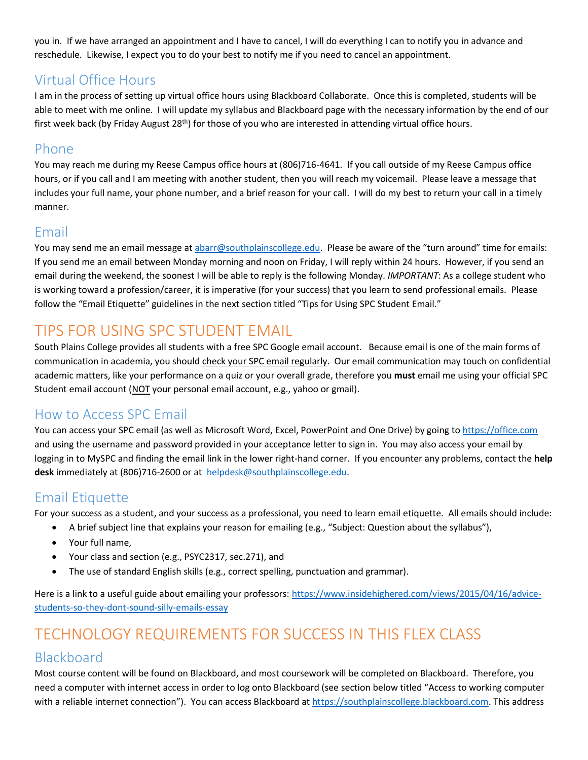you in. If we have arranged an appointment and I have to cancel, I will do everything I can to notify you in advance and reschedule. Likewise, I expect you to do your best to notify me if you need to cancel an appointment.

#### Virtual Office Hours

I am in the process of setting up virtual office hours using Blackboard Collaborate. Once this is completed, students will be able to meet with me online. I will update my syllabus and Blackboard page with the necessary information by the end of our first week back (by Friday August 28th) for those of you who are interested in attending virtual office hours.

#### Phone

You may reach me during my Reese Campus office hours at (806)716-4641. If you call outside of my Reese Campus office hours, or if you call and I am meeting with another student, then you will reach my voicemail. Please leave a message that includes your full name, your phone number, and a brief reason for your call. I will do my best to return your call in a timely manner.

#### Email

You may send me an email message at [abarr@southplainscollege.edu](mailto:abarr@southplainscollege.edu). Please be aware of the "turn around" time for emails: If you send me an email between Monday morning and noon on Friday, I will reply within 24 hours. However, if you send an email during the weekend, the soonest I will be able to reply is the following Monday. *IMPORTANT*: As a college student who is working toward a profession/career, it is imperative (for your success) that you learn to send professional emails. Please follow the "Email Etiquette" guidelines in the next section titled "Tips for Using SPC Student Email."

## TIPS FOR USING SPC STUDENT EMAIL

South Plains College provides all students with a free SPC Google email account. Because email is one of the main forms of communication in academia, you should check your SPC email regularly. Our email communication may touch on confidential academic matters, like your performance on a quiz or your overall grade, therefore you **must** email me using your official SPC Student email account (NOT your personal email account, e.g., yahoo or gmail).

#### How to Access SPC Email

You can access your SPC email (as well as Microsoft Word, Excel, PowerPoint and One Drive) by going t[o https://office.com](https://office.com/) and using the username and password provided in your acceptance letter to sign in. You may also access your email by logging in to MySPC and finding the email link in the lower right-hand corner. If you encounter any problems, contact the **help desk** immediately at (806)716-2600 or at [helpdesk@southplainscollege.edu.](mailto:helpdesk@southplainscollege.edu)

## Email Etiquette

For your success as a student, and your success as a professional, you need to learn email etiquette. All emails should include:

- A brief subject line that explains your reason for emailing (e.g., "Subject: Question about the syllabus"),
- Your full name,
- Your class and section (e.g., PSYC2317, sec.271), and
- The use of standard English skills (e.g., correct spelling, punctuation and grammar).

Here is a link to a useful guide about emailing your professors: [https://www.insidehighered.com/views/2015/04/16/advice](https://www.insidehighered.com/views/2015/04/16/advice-students-so-they-dont-sound-silly-emails-essay)[students-so-they-dont-sound-silly-emails-essay](https://www.insidehighered.com/views/2015/04/16/advice-students-so-they-dont-sound-silly-emails-essay)

# TECHNOLOGY REQUIREMENTS FOR SUCCESS IN THIS FLEX CLASS

#### Blackboard

Most course content will be found on Blackboard, and most coursework will be completed on Blackboard. Therefore, you need a computer with internet access in order to log onto Blackboard (see section below titled "Access to working computer with a reliable internet connection"). You can access Blackboard at [https://southplainscollege.blackboard.com.](https://southplainscollege.blackboard.com/) This address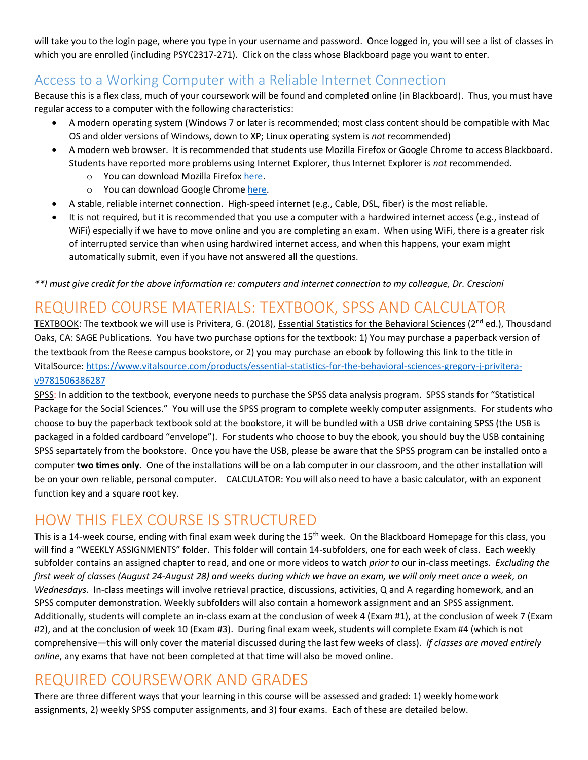will take you to the login page, where you type in your username and password. Once logged in, you will see a list of classes in which you are enrolled (including PSYC2317-271). Click on the class whose Blackboard page you want to enter.

#### Access to a Working Computer with a Reliable Internet Connection

Because this is a flex class, much of your coursework will be found and completed online (in Blackboard). Thus, you must have regular access to a computer with the following characteristics:

- A modern operating system (Windows 7 or later is recommended; most class content should be compatible with Mac OS and older versions of Windows, down to XP; Linux operating system is *not* recommended)
- A modern web browser. It is recommended that students use Mozilla Firefox or Google Chrome to access Blackboard. Students have reported more problems using Internet Explorer, thus Internet Explorer is *not* recommended.
	- o You can download Mozilla Firefox [here.](https://www.mozilla.org/en-US/firefox/new/)
	- o You can download Google Chrome [here.](https://www.google.com/intl/en/chrome/browser/desktop/index.html#brand=CHMB&utm_campaign=en&utm_source=en-ha-na-us-sk&utm_medium=ha)
- A stable, reliable internet connection. High-speed internet (e.g., Cable, DSL, fiber) is the most reliable.
- It is not required, but it is recommended that you use a computer with a hardwired internet access (e.g., instead of WiFi) especially if we have to move online and you are completing an exam. When using WiFi, there is a greater risk of interrupted service than when using hardwired internet access, and when this happens, your exam might automatically submit, even if you have not answered all the questions.

*\*\*I must give credit for the above information re: computers and internet connection to my colleague, Dr. Crescioni*

## REQUIRED COURSE MATERIALS: TEXTBOOK, SPSS AND CALCULATOR

TEXTBOOK: The textbook we will use is Privitera, G. (2018), Essential Statistics for the Behavioral Sciences (2<sup>nd</sup> ed.), Thousdand Oaks, CA: SAGE Publications. You have two purchase options for the textbook: 1) You may purchase a paperback version of the textbook from the Reese campus bookstore, or 2) you may purchase an ebook by following this link to the title in VitalSource[: https://www.vitalsource.com/products/essential-statistics-for-the-behavioral-sciences-gregory-j-privitera](https://nam02.safelinks.protection.outlook.com/?url=https%3A%2F%2Fwww.vitalsource.com%2Fproducts%2Fessential-statistics-for-the-behavioral-sciences-gregory-j-privitera-v9781506386287&data=01%7C01%7Cabarr%40southplainscollege.edu%7Cc38cc43579fe44a5456e08d843c9c94f%7C6d91b166cf6a45e99e22a02625d082a9%7C0&sdata=uo4yaOWbcS19BCHL0YBLsaUDkn3%2BvJNp4Ik5HAKQE58%3D&reserved=0)[v9781506386287](https://nam02.safelinks.protection.outlook.com/?url=https%3A%2F%2Fwww.vitalsource.com%2Fproducts%2Fessential-statistics-for-the-behavioral-sciences-gregory-j-privitera-v9781506386287&data=01%7C01%7Cabarr%40southplainscollege.edu%7Cc38cc43579fe44a5456e08d843c9c94f%7C6d91b166cf6a45e99e22a02625d082a9%7C0&sdata=uo4yaOWbcS19BCHL0YBLsaUDkn3%2BvJNp4Ik5HAKQE58%3D&reserved=0)

SPSS: In addition to the textbook, everyone needs to purchase the SPSS data analysis program. SPSS stands for "Statistical Package for the Social Sciences." You will use the SPSS program to complete weekly computer assignments. For students who choose to buy the paperback textbook sold at the bookstore, it will be bundled with a USB drive containing SPSS (the USB is packaged in a folded cardboard "envelope"). For students who choose to buy the ebook, you should buy the USB containing SPSS separtately from the bookstore. Once you have the USB, please be aware that the SPSS program can be installed onto a computer **two times only**. One of the installations will be on a lab computer in our classroom, and the other installation will be on your own reliable, personal computer. CALCULATOR: You will also need to have a basic calculator, with an exponent function key and a square root key.

## HOW THIS FLEX COURSE IS STRUCTURED

This is a 14-week course, ending with final exam week during the 15<sup>th</sup> week. On the Blackboard Homepage for this class, you will find a "WEEKLY ASSIGNMENTS" folder. This folder will contain 14-subfolders, one for each week of class. Each weekly subfolder contains an assigned chapter to read, and one or more videos to watch *prior to* our in-class meetings. *Excluding the first week of classes (August 24-August 28) and weeks during which we have an exam, we will only meet once a week, on Wednesdays.* In-class meetings will involve retrieval practice, discussions, activities, Q and A regarding homework, and an SPSS computer demonstration. Weekly subfolders will also contain a homework assignment and an SPSS assignment. Additionally, students will complete an in-class exam at the conclusion of week 4 (Exam #1), at the conclusion of week 7 (Exam #2), and at the conclusion of week 10 (Exam #3). During final exam week, students will complete Exam #4 (which is not comprehensive—this will only cover the material discussed during the last few weeks of class). *If classes are moved entirely online*, any exams that have not been completed at that time will also be moved online.

## REQUIRED COURSEWORK AND GRADES

There are three different ways that your learning in this course will be assessed and graded: 1) weekly homework assignments, 2) weekly SPSS computer assignments, and 3) four exams. Each of these are detailed below.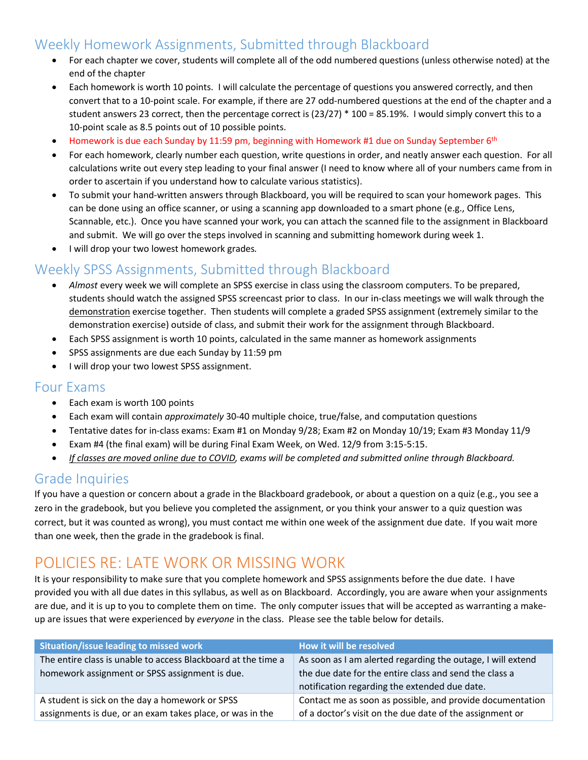#### Weekly Homework Assignments, Submitted through Blackboard

- For each chapter we cover, students will complete all of the odd numbered questions (unless otherwise noted) at the end of the chapter
- Each homework is worth 10 points. I will calculate the percentage of questions you answered correctly, and then convert that to a 10-point scale. For example, if there are 27 odd-numbered questions at the end of the chapter and a student answers 23 correct, then the percentage correct is (23/27) \* 100 = 85.19%. I would simply convert this to a 10-point scale as 8.5 points out of 10 possible points.
- Homework is due each Sunday by 11:59 pm, beginning with Homework #1 due on Sunday September 6th
- For each homework, clearly number each question, write questions in order, and neatly answer each question. For all calculations write out every step leading to your final answer (I need to know where all of your numbers came from in order to ascertain if you understand how to calculate various statistics).
- To submit your hand-written answers through Blackboard, you will be required to scan your homework pages. This can be done using an office scanner, or using a scanning app downloaded to a smart phone (e.g., Office Lens, Scannable, etc.). Once you have scanned your work, you can attach the scanned file to the assignment in Blackboard and submit. We will go over the steps involved in scanning and submitting homework during week 1.
- I will drop your two lowest homework grades*.*

#### Weekly SPSS Assignments, Submitted through Blackboard

- *Almost* every week we will complete an SPSS exercise in class using the classroom computers. To be prepared, students should watch the assigned SPSS screencast prior to class. In our in-class meetings we will walk through the demonstration exercise together. Then students will complete a graded SPSS assignment (extremely similar to the demonstration exercise) outside of class, and submit their work for the assignment through Blackboard.
- Each SPSS assignment is worth 10 points, calculated in the same manner as homework assignments
- SPSS assignments are due each Sunday by 11:59 pm
- I will drop your two lowest SPSS assignment.

#### Four Exams

- Each exam is worth 100 points
- Each exam will contain *approximately* 30-40 multiple choice, true/false, and computation questions
- Tentative dates for in-class exams: Exam #1 on Monday 9/28; Exam #2 on Monday 10/19; Exam #3 Monday 11/9
- Exam #4 (the final exam) will be during Final Exam Week, on Wed. 12/9 from 3:15-5:15.
- *If classes are moved online due to COVID, exams will be completed and submitted online through Blackboard.*

#### Grade Inquiries

If you have a question or concern about a grade in the Blackboard gradebook, or about a question on a quiz (e.g., you see a zero in the gradebook, but you believe you completed the assignment, or you think your answer to a quiz question was correct, but it was counted as wrong), you must contact me within one week of the assignment due date. If you wait more than one week, then the grade in the gradebook is final.

## POLICIES RE: LATE WORK OR MISSING WORK

It is your responsibility to make sure that you complete homework and SPSS assignments before the due date. I have provided you with all due dates in this syllabus, as well as on Blackboard. Accordingly, you are aware when your assignments are due, and it is up to you to complete them on time. The only computer issues that will be accepted as warranting a makeup are issues that were experienced by *everyone* in the class. Please see the table below for details.

| Situation/issue leading to missed work                        | How it will be resolved                                     |
|---------------------------------------------------------------|-------------------------------------------------------------|
| The entire class is unable to access Blackboard at the time a | As soon as I am alerted regarding the outage, I will extend |
| homework assignment or SPSS assignment is due.                | the due date for the entire class and send the class a      |
|                                                               | notification regarding the extended due date.               |
| A student is sick on the day a homework or SPSS               | Contact me as soon as possible, and provide documentation   |
| assignments is due, or an exam takes place, or was in the     | of a doctor's visit on the due date of the assignment or    |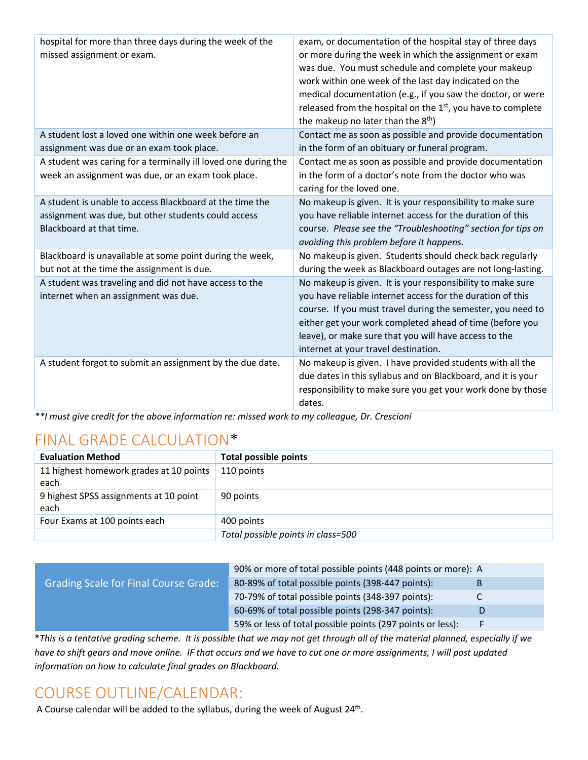| hospital for more than three days during the week of the<br>missed assignment or exam.                                                      | exam, or documentation of the hospital stay of three days<br>or more during the week in which the assignment or exam<br>was due. You must schedule and complete your makeup<br>work within one week of the last day indicated on the<br>medical documentation (e.g., if you saw the doctor, or were<br>released from the hospital on the 1st, you have to complete<br>the makeup no later than the 8 <sup>th</sup> ) |
|---------------------------------------------------------------------------------------------------------------------------------------------|----------------------------------------------------------------------------------------------------------------------------------------------------------------------------------------------------------------------------------------------------------------------------------------------------------------------------------------------------------------------------------------------------------------------|
| A student lost a loved one within one week before an<br>assignment was due or an exam took place.                                           | Contact me as soon as possible and provide documentation<br>in the form of an obituary or funeral program.                                                                                                                                                                                                                                                                                                           |
| A student was caring for a terminally ill loved one during the<br>week an assignment was due, or an exam took place.                        | Contact me as soon as possible and provide documentation<br>in the form of a doctor's note from the doctor who was<br>caring for the loved one.                                                                                                                                                                                                                                                                      |
| A student is unable to access Blackboard at the time the<br>assignment was due, but other students could access<br>Blackboard at that time. | No makeup is given. It is your responsibility to make sure<br>you have reliable internet access for the duration of this<br>course. Please see the "Troubleshooting" section for tips on<br>avoiding this problem before it happens.                                                                                                                                                                                 |
| Blackboard is unavailable at some point during the week,<br>but not at the time the assignment is due.                                      | No makeup is given. Students should check back regularly<br>during the week as Blackboard outages are not long-lasting.                                                                                                                                                                                                                                                                                              |
| A student was traveling and did not have access to the<br>internet when an assignment was due.                                              | No makeup is given. It is your responsibility to make sure<br>you have reliable internet access for the duration of this<br>course. If you must travel during the semester, you need to<br>either get your work completed ahead of time (before you<br>leave), or make sure that you will have access to the<br>internet at your travel destination.                                                                 |
| A student forgot to submit an assignment by the due date.                                                                                   | No makeup is given. I have provided students with all the<br>due dates in this syllabus and on Blackboard, and it is your<br>responsibility to make sure you get your work done by those<br>dates.                                                                                                                                                                                                                   |

*\*\*I must give credit for the above information re: missed work to my colleague, Dr. Crescioni*

## FINAL GRADE CALCULATION\*

| <b>Evaluation Method</b>                        | <b>Total possible points</b>       |
|-------------------------------------------------|------------------------------------|
| 11 highest homework grades at 10 points<br>each | 110 points                         |
| 9 highest SPSS assignments at 10 point<br>each  | 90 points                          |
| Four Exams at 100 points each                   | 400 points                         |
|                                                 | Total possible points in class=500 |

|                                              | 90% or more of total possible points (448 points or more): A |   |
|----------------------------------------------|--------------------------------------------------------------|---|
| <b>Grading Scale for Final Course Grade:</b> | 80-89% of total possible points (398-447 points):            |   |
|                                              | 70-79% of total possible points (348-397 points):            |   |
|                                              | 60-69% of total possible points (298-347 points):            | D |
|                                              | 59% or less of total possible points (297 points or less):   | F |

\**This is a tentative grading scheme. It is possible that we may not get through all of the material planned, especially if we have to shift gears and move online. IF that occurs and we have to cut one or more assignments, I will post updated information on how to calculate final grades on Blackboard.*

## COURSE OUTLINE/CALENDAR:

A Course calendar will be added to the syllabus, during the week of August 24<sup>th</sup>.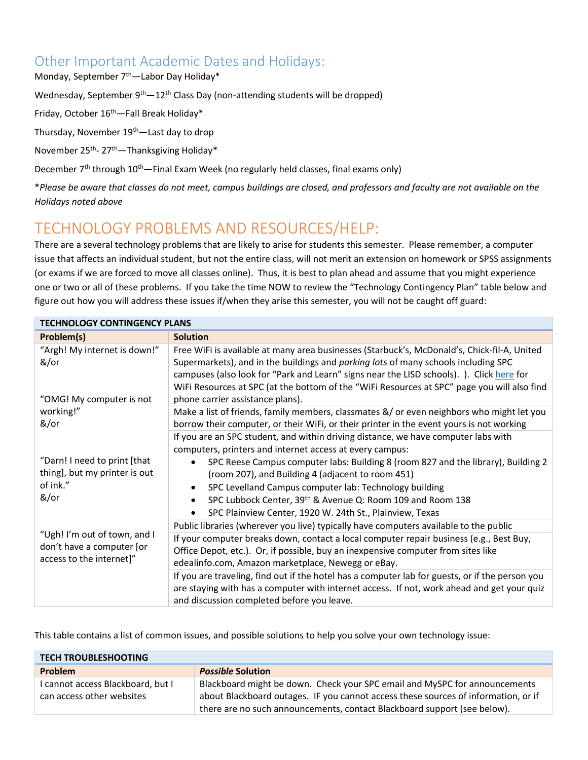#### Other Important Academic Dates and Holidays:

Monday, September 7<sup>th</sup>—Labor Day Holiday\*

Wednesday, September 9<sup>th</sup>—12<sup>th</sup> Class Day (non-attending students will be dropped)

Friday, October 16<sup>th</sup> - Fall Break Holiday\*

Thursday, November 19<sup>th</sup>—Last day to drop

November 25<sup>th</sup>- 27<sup>th</sup> — Thanksgiving Holiday\*

December 7<sup>th</sup> through 10<sup>th</sup>—Final Exam Week (no regularly held classes, final exams only)

\**Please be aware that classes do not meet, campus buildings are closed, and professors and faculty are not available on the Holidays noted above*

## TECHNOLOGY PROBLEMS AND RESOURCES/HELP:

There are a several technology problems that are likely to arise for students this semester. Please remember, a computer issue that affects an individual student, but not the entire class, will not merit an extension on homework or SPSS assignments (or exams if we are forced to move all classes online). Thus, it is best to plan ahead and assume that you might experience one or two or all of these problems. If you take the time NOW to review the "Technology Contingency Plan" table below and figure out how you will address these issues if/when they arise this semester, you will not be caught off guard:

| <b>TECHNOLOGY CONTINGENCY PLANS</b>                                                   |                                                                                                                                                                                                                                                                                                                                                                                                                                                                              |  |
|---------------------------------------------------------------------------------------|------------------------------------------------------------------------------------------------------------------------------------------------------------------------------------------------------------------------------------------------------------------------------------------------------------------------------------------------------------------------------------------------------------------------------------------------------------------------------|--|
| Problem(s)                                                                            | <b>Solution</b>                                                                                                                                                                                                                                                                                                                                                                                                                                                              |  |
| "Argh! My internet is down!"<br>&/or<br>"OMG! My computer is not                      | Free WiFi is available at many area businesses (Starbuck's, McDonald's, Chick-fil-A, United<br>Supermarkets), and in the buildings and parking lots of many schools including SPC<br>campuses (also look for "Park and Learn" signs near the LISD schools). ). Click here for<br>WiFi Resources at SPC (at the bottom of the "WiFi Resources at SPC" page you will also find<br>phone carrier assistance plans).                                                             |  |
| working!"<br>&/or                                                                     | Make a list of friends, family members, classmates &/ or even neighbors who might let you<br>borrow their computer, or their WiFi, or their printer in the event yours is not working                                                                                                                                                                                                                                                                                        |  |
| "Darn! I need to print [that<br>thing], but my printer is out<br>of ink."<br>&/or     | If you are an SPC student, and within driving distance, we have computer labs with<br>computers, printers and internet access at every campus:<br>SPC Reese Campus computer labs: Building 8 (room 827 and the library), Building 2<br>(room 207), and Building 4 (adjacent to room 451)<br>SPC Levelland Campus computer lab: Technology building<br>SPC Lubbock Center, 39th & Avenue Q: Room 109 and Room 138<br>SPC Plainview Center, 1920 W. 24th St., Plainview, Texas |  |
| "Ugh! I'm out of town, and I<br>don't have a computer [or<br>access to the internet]" | Public libraries (wherever you live) typically have computers available to the public                                                                                                                                                                                                                                                                                                                                                                                        |  |
|                                                                                       | If your computer breaks down, contact a local computer repair business (e.g., Best Buy,<br>Office Depot, etc.). Or, if possible, buy an inexpensive computer from sites like<br>edealinfo.com, Amazon marketplace, Newegg or eBay.                                                                                                                                                                                                                                           |  |
|                                                                                       | If you are traveling, find out if the hotel has a computer lab for guests, or if the person you<br>are staying with has a computer with internet access. If not, work ahead and get your quiz<br>and discussion completed before you leave.                                                                                                                                                                                                                                  |  |

This table contains a list of common issues, and possible solutions to help you solve your own technology issue:

| <b>TECH TROUBLESHOOTING</b>                                    |                                                                                                                                                                                                                                              |  |
|----------------------------------------------------------------|----------------------------------------------------------------------------------------------------------------------------------------------------------------------------------------------------------------------------------------------|--|
| <b>Problem</b>                                                 | <b>Possible Solution</b>                                                                                                                                                                                                                     |  |
| I cannot access Blackboard, but I<br>can access other websites | Blackboard might be down. Check your SPC email and MySPC for announcements<br>about Blackboard outages. IF you cannot access these sources of information, or if<br>there are no such announcements, contact Blackboard support (see below). |  |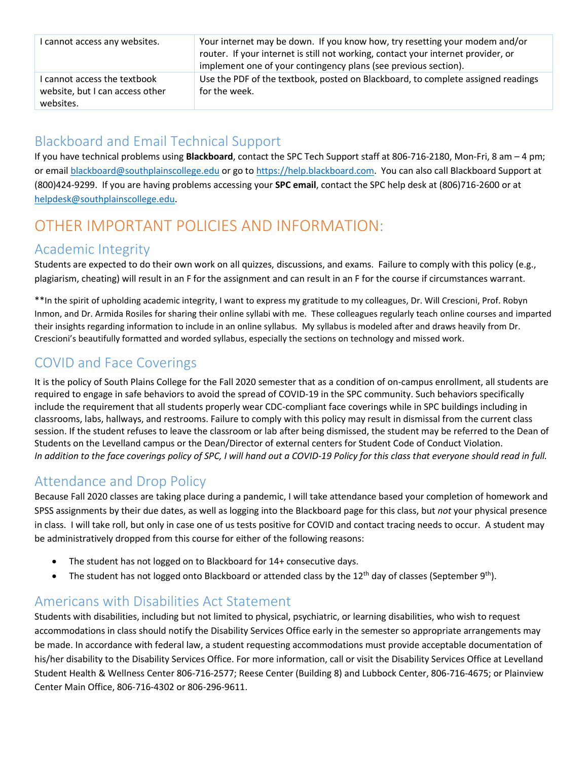| I cannot access any websites.                                                | Your internet may be down. If you know how, try resetting your modem and/or<br>router. If your internet is still not working, contact your internet provider, or<br>implement one of your contingency plans (see previous section). |
|------------------------------------------------------------------------------|-------------------------------------------------------------------------------------------------------------------------------------------------------------------------------------------------------------------------------------|
| I cannot access the textbook<br>website, but I can access other<br>websites. | Use the PDF of the textbook, posted on Blackboard, to complete assigned readings<br>for the week.                                                                                                                                   |

### Blackboard and Email Technical Support

If you have technical problems using **Blackboard**, contact the SPC Tech Support staff at 806-716-2180, Mon-Fri, 8 am – 4 pm; or emai[l blackboard@southplainscollege.edu](mailto:blackboard@southplainscollege.edu) or go t[o https://help.blackboard.com.](https://help.blackboard.com/) You can also call Blackboard Support at (800)424-9299. If you are having problems accessing your **SPC email**, contact the SPC help desk at (806)716-2600 or at [helpdesk@southplainscollege.edu.](mailto:helpdesk@southplainscollege.edu)

## OTHER IMPORTANT POLICIES AND INFORMATION:

#### Academic Integrity

Students are expected to do their own work on all quizzes, discussions, and exams. Failure to comply with this policy (e.g., plagiarism, cheating) will result in an F for the assignment and can result in an F for the course if circumstances warrant.

\*\*In the spirit of upholding academic integrity, I want to express my gratitude to my colleagues, Dr. Will Crescioni, Prof. Robyn Inmon, and Dr. Armida Rosiles for sharing their online syllabi with me. These colleagues regularly teach online courses and imparted their insights regarding information to include in an online syllabus. My syllabus is modeled after and draws heavily from Dr. Crescioni's beautifully formatted and worded syllabus, especially the sections on technology and missed work.

### COVID and Face Coverings

It is the policy of South Plains College for the Fall 2020 semester that as a condition of on-campus enrollment, all students are required to engage in safe behaviors to avoid the spread of COVID-19 in the SPC community. Such behaviors specifically include the requirement that all students properly wear CDC-compliant face coverings while in SPC buildings including in classrooms, labs, hallways, and restrooms. Failure to comply with this policy may result in dismissal from the current class session. If the student refuses to leave the classroom or lab after being dismissed, the student may be referred to the Dean of Students on the Levelland campus or the Dean/Director of external centers for Student Code of Conduct Violation. *In addition to the face coverings policy of SPC, I will hand out a COVID-19 Policy for this class that everyone should read in full.*

#### Attendance and Drop Policy

Because Fall 2020 classes are taking place during a pandemic, I will take attendance based your completion of homework and SPSS assignments by their due dates, as well as logging into the Blackboard page for this class, but *not* your physical presence in class. I will take roll, but only in case one of us tests positive for COVID and contact tracing needs to occur. A student may be administratively dropped from this course for either of the following reasons:

- The student has not logged on to Blackboard for 14+ consecutive days.
- The student has not logged onto Blackboard or attended class by the 12<sup>th</sup> day of classes (September 9<sup>th</sup>).

#### Americans with Disabilities Act Statement

Students with disabilities, including but not limited to physical, psychiatric, or learning disabilities, who wish to request accommodations in class should notify the Disability Services Office early in the semester so appropriate arrangements may be made. In accordance with federal law, a student requesting accommodations must provide acceptable documentation of his/her disability to the Disability Services Office. For more information, call or visit the Disability Services Office at Levelland Student Health & Wellness Center 806-716-2577; Reese Center (Building 8) and Lubbock Center, 806-716-4675; or Plainview Center Main Office, 806-716-4302 or 806-296-9611.